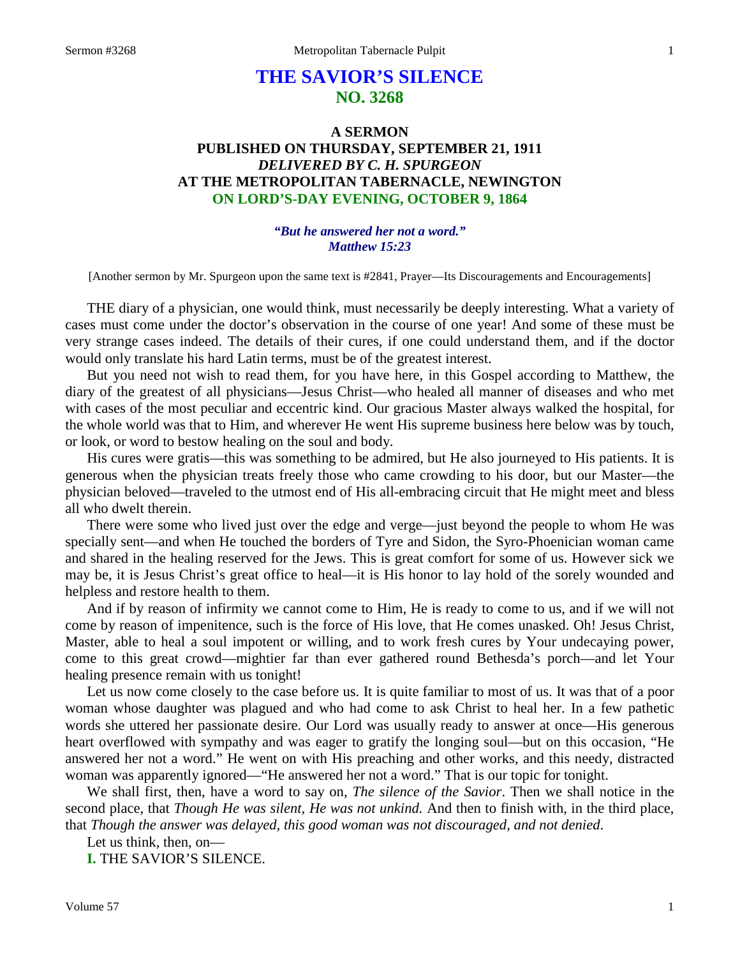# **THE SAVIOR'S SILENCE NO. 3268**

# **A SERMON PUBLISHED ON THURSDAY, SEPTEMBER 21, 1911** *DELIVERED BY C. H. SPURGEON* **AT THE METROPOLITAN TABERNACLE, NEWINGTON ON LORD'S-DAY EVENING, OCTOBER 9, 1864**

### *"But he answered her not a word." Matthew 15:23*

[Another sermon by Mr. Spurgeon upon the same text is #2841, Prayer—Its Discouragements and Encouragements]

THE diary of a physician, one would think, must necessarily be deeply interesting. What a variety of cases must come under the doctor's observation in the course of one year! And some of these must be very strange cases indeed. The details of their cures, if one could understand them, and if the doctor would only translate his hard Latin terms, must be of the greatest interest.

But you need not wish to read them, for you have here, in this Gospel according to Matthew, the diary of the greatest of all physicians—Jesus Christ—who healed all manner of diseases and who met with cases of the most peculiar and eccentric kind. Our gracious Master always walked the hospital, for the whole world was that to Him, and wherever He went His supreme business here below was by touch, or look, or word to bestow healing on the soul and body.

His cures were gratis—this was something to be admired, but He also journeyed to His patients. It is generous when the physician treats freely those who came crowding to his door, but our Master—the physician beloved—traveled to the utmost end of His all-embracing circuit that He might meet and bless all who dwelt therein.

There were some who lived just over the edge and verge—just beyond the people to whom He was specially sent—and when He touched the borders of Tyre and Sidon, the Syro-Phoenician woman came and shared in the healing reserved for the Jews. This is great comfort for some of us. However sick we may be, it is Jesus Christ's great office to heal—it is His honor to lay hold of the sorely wounded and helpless and restore health to them.

And if by reason of infirmity we cannot come to Him, He is ready to come to us, and if we will not come by reason of impenitence, such is the force of His love, that He comes unasked. Oh! Jesus Christ, Master, able to heal a soul impotent or willing, and to work fresh cures by Your undecaying power, come to this great crowd—mightier far than ever gathered round Bethesda's porch—and let Your healing presence remain with us tonight!

Let us now come closely to the case before us. It is quite familiar to most of us. It was that of a poor woman whose daughter was plagued and who had come to ask Christ to heal her. In a few pathetic words she uttered her passionate desire. Our Lord was usually ready to answer at once—His generous heart overflowed with sympathy and was eager to gratify the longing soul—but on this occasion, "He answered her not a word." He went on with His preaching and other works, and this needy, distracted woman was apparently ignored—"He answered her not a word." That is our topic for tonight.

We shall first, then, have a word to say on, *The silence of the Savior*. Then we shall notice in the second place, that *Though He was silent, He was not unkind.* And then to finish with, in the third place, that *Though the answer was delayed, this good woman was not discouraged, and not denied*.

Let us think, then, on—

**I.** THE SAVIOR'S SILENCE.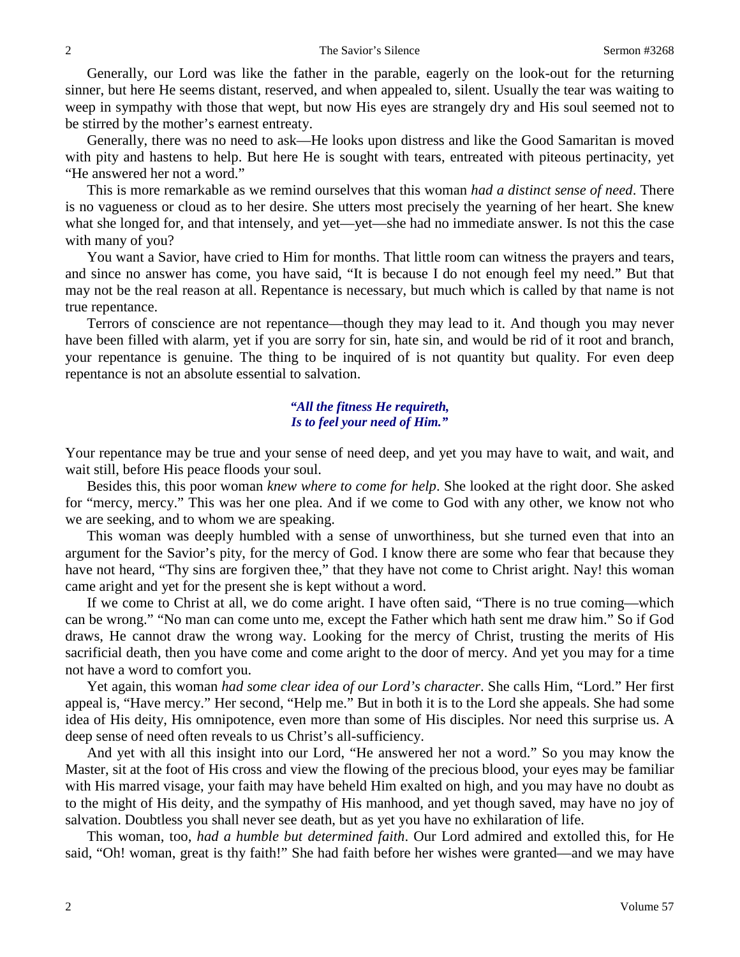Generally, our Lord was like the father in the parable, eagerly on the look-out for the returning sinner, but here He seems distant, reserved, and when appealed to, silent. Usually the tear was waiting to weep in sympathy with those that wept, but now His eyes are strangely dry and His soul seemed not to be stirred by the mother's earnest entreaty.

Generally, there was no need to ask—He looks upon distress and like the Good Samaritan is moved with pity and hastens to help. But here He is sought with tears, entreated with piteous pertinacity, yet "He answered her not a word."

This is more remarkable as we remind ourselves that this woman *had a distinct sense of need*. There is no vagueness or cloud as to her desire. She utters most precisely the yearning of her heart. She knew what she longed for, and that intensely, and yet—yet—she had no immediate answer. Is not this the case with many of you?

You want a Savior, have cried to Him for months. That little room can witness the prayers and tears, and since no answer has come, you have said, "It is because I do not enough feel my need." But that may not be the real reason at all. Repentance is necessary, but much which is called by that name is not true repentance.

Terrors of conscience are not repentance—though they may lead to it. And though you may never have been filled with alarm, yet if you are sorry for sin, hate sin, and would be rid of it root and branch, your repentance is genuine. The thing to be inquired of is not quantity but quality. For even deep repentance is not an absolute essential to salvation.

## *"All the fitness He requireth, Is to feel your need of Him."*

Your repentance may be true and your sense of need deep, and yet you may have to wait, and wait, and wait still, before His peace floods your soul.

Besides this, this poor woman *knew where to come for help*. She looked at the right door. She asked for "mercy, mercy." This was her one plea. And if we come to God with any other, we know not who we are seeking, and to whom we are speaking.

This woman was deeply humbled with a sense of unworthiness, but she turned even that into an argument for the Savior's pity, for the mercy of God. I know there are some who fear that because they have not heard, "Thy sins are forgiven thee," that they have not come to Christ aright. Nay! this woman came aright and yet for the present she is kept without a word.

If we come to Christ at all, we do come aright. I have often said, "There is no true coming—which can be wrong." "No man can come unto me, except the Father which hath sent me draw him." So if God draws, He cannot draw the wrong way. Looking for the mercy of Christ, trusting the merits of His sacrificial death, then you have come and come aright to the door of mercy. And yet you may for a time not have a word to comfort you.

Yet again, this woman *had some clear idea of our Lord's character*. She calls Him, "Lord." Her first appeal is, "Have mercy." Her second, "Help me." But in both it is to the Lord she appeals. She had some idea of His deity, His omnipotence, even more than some of His disciples. Nor need this surprise us. A deep sense of need often reveals to us Christ's all-sufficiency.

And yet with all this insight into our Lord, "He answered her not a word." So you may know the Master, sit at the foot of His cross and view the flowing of the precious blood, your eyes may be familiar with His marred visage, your faith may have beheld Him exalted on high, and you may have no doubt as to the might of His deity, and the sympathy of His manhood, and yet though saved, may have no joy of salvation. Doubtless you shall never see death, but as yet you have no exhilaration of life.

This woman, too, *had a humble but determined faith*. Our Lord admired and extolled this, for He said, "Oh! woman, great is thy faith!" She had faith before her wishes were granted—and we may have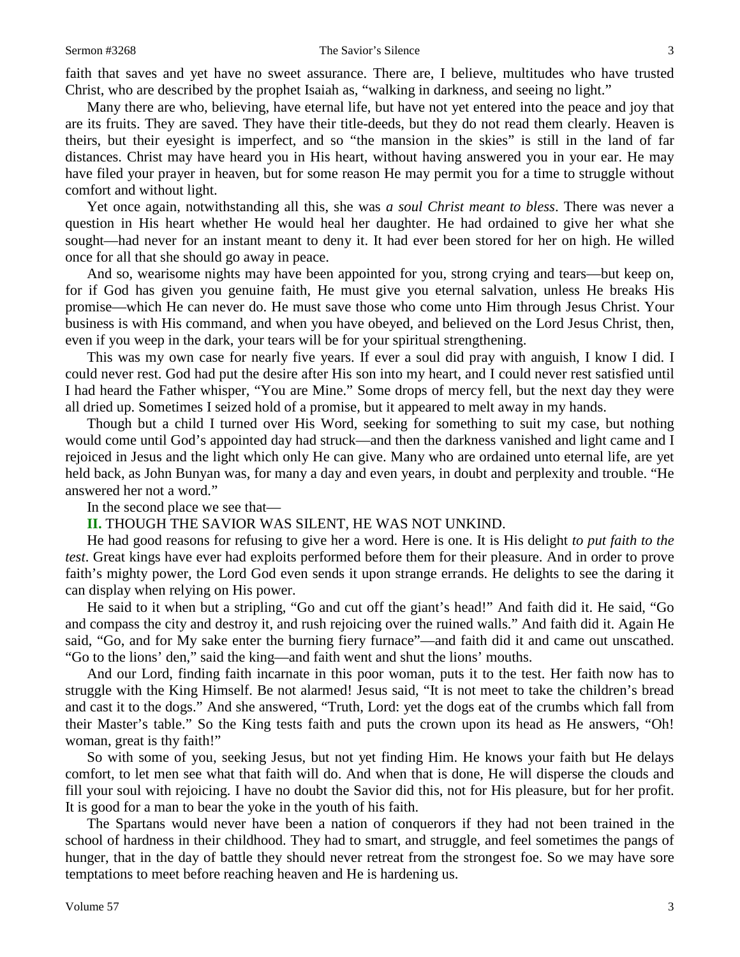faith that saves and yet have no sweet assurance. There are, I believe, multitudes who have trusted Christ, who are described by the prophet Isaiah as, "walking in darkness, and seeing no light."

Many there are who, believing, have eternal life, but have not yet entered into the peace and joy that are its fruits. They are saved. They have their title-deeds, but they do not read them clearly. Heaven is theirs, but their eyesight is imperfect, and so "the mansion in the skies" is still in the land of far distances. Christ may have heard you in His heart, without having answered you in your ear. He may have filed your prayer in heaven, but for some reason He may permit you for a time to struggle without comfort and without light.

Yet once again, notwithstanding all this, she was *a soul Christ meant to bless*. There was never a question in His heart whether He would heal her daughter. He had ordained to give her what she sought—had never for an instant meant to deny it. It had ever been stored for her on high. He willed once for all that she should go away in peace.

And so, wearisome nights may have been appointed for you, strong crying and tears—but keep on, for if God has given you genuine faith, He must give you eternal salvation, unless He breaks His promise—which He can never do. He must save those who come unto Him through Jesus Christ. Your business is with His command, and when you have obeyed, and believed on the Lord Jesus Christ, then, even if you weep in the dark, your tears will be for your spiritual strengthening.

This was my own case for nearly five years. If ever a soul did pray with anguish, I know I did. I could never rest. God had put the desire after His son into my heart, and I could never rest satisfied until I had heard the Father whisper, "You are Mine." Some drops of mercy fell, but the next day they were all dried up. Sometimes I seized hold of a promise, but it appeared to melt away in my hands.

Though but a child I turned over His Word, seeking for something to suit my case, but nothing would come until God's appointed day had struck—and then the darkness vanished and light came and I rejoiced in Jesus and the light which only He can give. Many who are ordained unto eternal life, are yet held back, as John Bunyan was, for many a day and even years, in doubt and perplexity and trouble. "He answered her not a word."

In the second place we see that—

# **II.** THOUGH THE SAVIOR WAS SILENT, HE WAS NOT UNKIND.

He had good reasons for refusing to give her a word. Here is one. It is His delight *to put faith to the test*. Great kings have ever had exploits performed before them for their pleasure. And in order to prove faith's mighty power, the Lord God even sends it upon strange errands. He delights to see the daring it can display when relying on His power.

He said to it when but a stripling, "Go and cut off the giant's head!" And faith did it. He said, "Go and compass the city and destroy it, and rush rejoicing over the ruined walls." And faith did it. Again He said, "Go, and for My sake enter the burning fiery furnace"—and faith did it and came out unscathed. "Go to the lions' den," said the king—and faith went and shut the lions' mouths.

And our Lord, finding faith incarnate in this poor woman, puts it to the test. Her faith now has to struggle with the King Himself. Be not alarmed! Jesus said, "It is not meet to take the children's bread and cast it to the dogs." And she answered, "Truth, Lord: yet the dogs eat of the crumbs which fall from their Master's table." So the King tests faith and puts the crown upon its head as He answers, "Oh! woman, great is thy faith!"

So with some of you, seeking Jesus, but not yet finding Him. He knows your faith but He delays comfort, to let men see what that faith will do. And when that is done, He will disperse the clouds and fill your soul with rejoicing. I have no doubt the Savior did this, not for His pleasure, but for her profit. It is good for a man to bear the yoke in the youth of his faith.

The Spartans would never have been a nation of conquerors if they had not been trained in the school of hardness in their childhood. They had to smart, and struggle, and feel sometimes the pangs of hunger, that in the day of battle they should never retreat from the strongest foe. So we may have sore temptations to meet before reaching heaven and He is hardening us.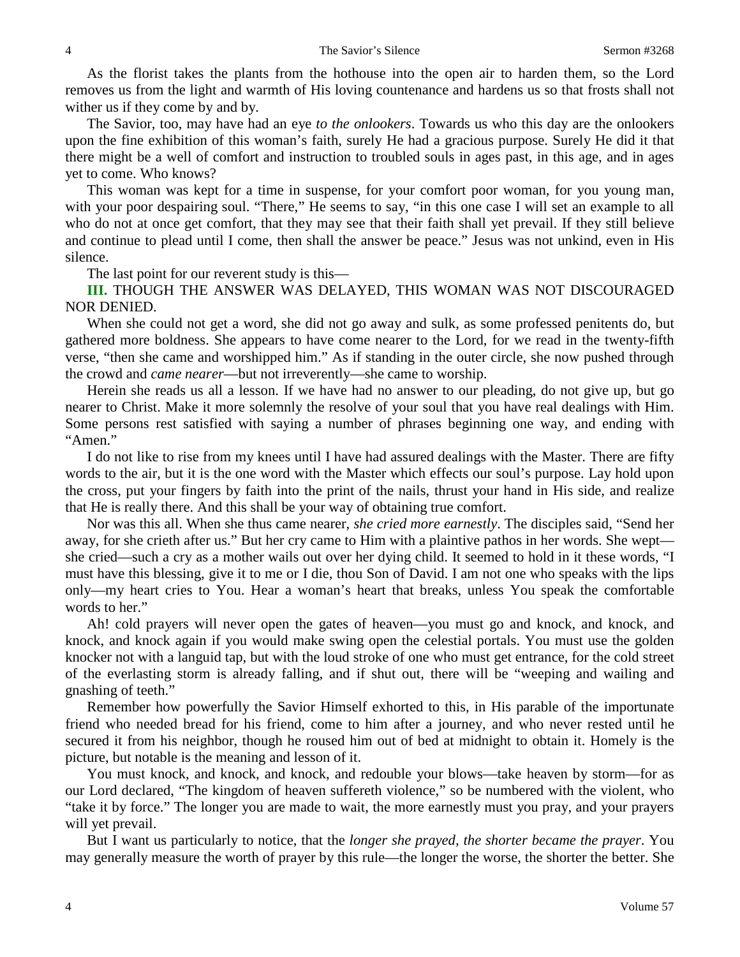As the florist takes the plants from the hothouse into the open air to harden them, so the Lord removes us from the light and warmth of His loving countenance and hardens us so that frosts shall not wither us if they come by and by.

The Savior, too, may have had an eye *to the onlookers*. Towards us who this day are the onlookers upon the fine exhibition of this woman's faith, surely He had a gracious purpose. Surely He did it that there might be a well of comfort and instruction to troubled souls in ages past, in this age, and in ages yet to come. Who knows?

This woman was kept for a time in suspense, for your comfort poor woman, for you young man, with your poor despairing soul. "There," He seems to say, "in this one case I will set an example to all who do not at once get comfort, that they may see that their faith shall yet prevail. If they still believe and continue to plead until I come, then shall the answer be peace." Jesus was not unkind, even in His silence.

The last point for our reverent study is this—

**III.** THOUGH THE ANSWER WAS DELAYED, THIS WOMAN WAS NOT DISCOURAGED NOR DENIED.

When she could not get a word, she did not go away and sulk, as some professed penitents do, but gathered more boldness. She appears to have come nearer to the Lord, for we read in the twenty-fifth verse, "then she came and worshipped him." As if standing in the outer circle, she now pushed through the crowd and *came nearer*—but not irreverently—she came to worship.

Herein she reads us all a lesson. If we have had no answer to our pleading, do not give up, but go nearer to Christ. Make it more solemnly the resolve of your soul that you have real dealings with Him. Some persons rest satisfied with saying a number of phrases beginning one way, and ending with "Amen."

I do not like to rise from my knees until I have had assured dealings with the Master. There are fifty words to the air, but it is the one word with the Master which effects our soul's purpose. Lay hold upon the cross, put your fingers by faith into the print of the nails, thrust your hand in His side, and realize that He is really there. And this shall be your way of obtaining true comfort.

Nor was this all. When she thus came nearer, *she cried more earnestly*. The disciples said, "Send her away, for she crieth after us." But her cry came to Him with a plaintive pathos in her words. She wept she cried—such a cry as a mother wails out over her dying child. It seemed to hold in it these words, "I must have this blessing, give it to me or I die, thou Son of David. I am not one who speaks with the lips only—my heart cries to You. Hear a woman's heart that breaks, unless You speak the comfortable words to her."

Ah! cold prayers will never open the gates of heaven—you must go and knock, and knock, and knock, and knock again if you would make swing open the celestial portals. You must use the golden knocker not with a languid tap, but with the loud stroke of one who must get entrance, for the cold street of the everlasting storm is already falling, and if shut out, there will be "weeping and wailing and gnashing of teeth."

Remember how powerfully the Savior Himself exhorted to this, in His parable of the importunate friend who needed bread for his friend, come to him after a journey, and who never rested until he secured it from his neighbor, though he roused him out of bed at midnight to obtain it. Homely is the picture, but notable is the meaning and lesson of it.

You must knock, and knock, and knock, and redouble your blows—take heaven by storm—for as our Lord declared, "The kingdom of heaven suffereth violence," so be numbered with the violent, who "take it by force." The longer you are made to wait, the more earnestly must you pray, and your prayers will yet prevail.

But I want us particularly to notice, that the *longer she prayed, the shorter became the prayer*. You may generally measure the worth of prayer by this rule—the longer the worse, the shorter the better. She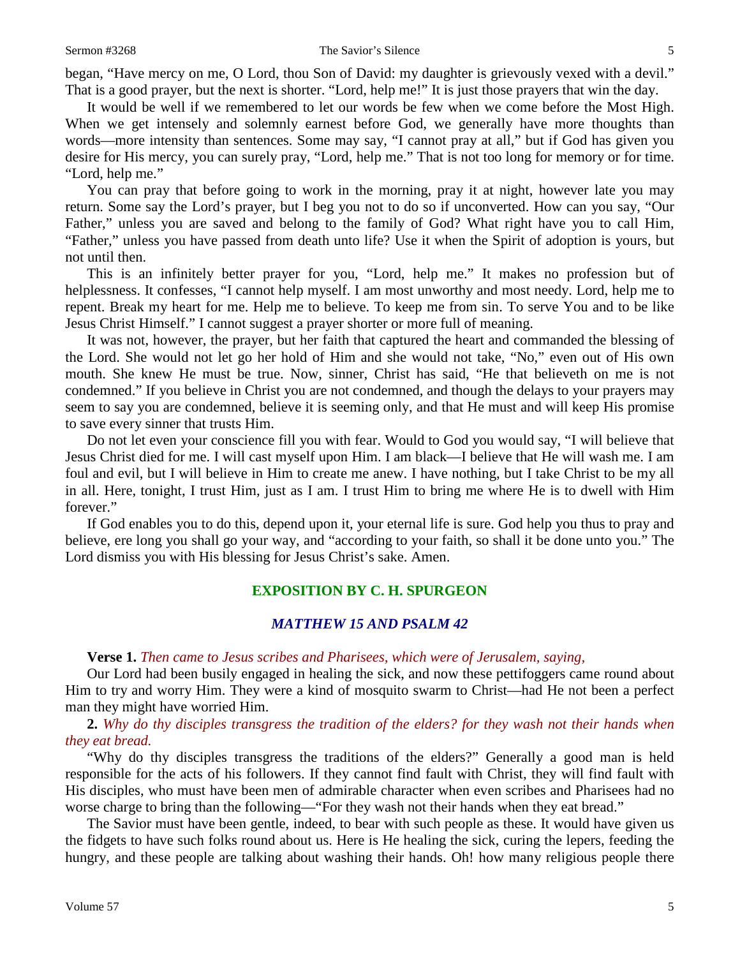began, "Have mercy on me, O Lord, thou Son of David: my daughter is grievously vexed with a devil." That is a good prayer, but the next is shorter. "Lord, help me!" It is just those prayers that win the day.

It would be well if we remembered to let our words be few when we come before the Most High. When we get intensely and solemnly earnest before God, we generally have more thoughts than words—more intensity than sentences. Some may say, "I cannot pray at all," but if God has given you desire for His mercy, you can surely pray, "Lord, help me." That is not too long for memory or for time. "Lord, help me."

You can pray that before going to work in the morning, pray it at night, however late you may return. Some say the Lord's prayer, but I beg you not to do so if unconverted. How can you say, "Our Father," unless you are saved and belong to the family of God? What right have you to call Him, "Father," unless you have passed from death unto life? Use it when the Spirit of adoption is yours, but not until then.

This is an infinitely better prayer for you, "Lord, help me." It makes no profession but of helplessness. It confesses, "I cannot help myself. I am most unworthy and most needy. Lord, help me to repent. Break my heart for me. Help me to believe. To keep me from sin. To serve You and to be like Jesus Christ Himself." I cannot suggest a prayer shorter or more full of meaning.

It was not, however, the prayer, but her faith that captured the heart and commanded the blessing of the Lord. She would not let go her hold of Him and she would not take, "No," even out of His own mouth. She knew He must be true. Now, sinner, Christ has said, "He that believeth on me is not condemned." If you believe in Christ you are not condemned, and though the delays to your prayers may seem to say you are condemned, believe it is seeming only, and that He must and will keep His promise to save every sinner that trusts Him.

Do not let even your conscience fill you with fear. Would to God you would say, "I will believe that Jesus Christ died for me. I will cast myself upon Him. I am black—I believe that He will wash me. I am foul and evil, but I will believe in Him to create me anew. I have nothing, but I take Christ to be my all in all. Here, tonight, I trust Him, just as I am. I trust Him to bring me where He is to dwell with Him forever."

If God enables you to do this, depend upon it, your eternal life is sure. God help you thus to pray and believe, ere long you shall go your way, and "according to your faith, so shall it be done unto you." The Lord dismiss you with His blessing for Jesus Christ's sake. Amen.

# **EXPOSITION BY C. H. SPURGEON**

# *MATTHEW 15 AND PSALM 42*

**Verse 1.** *Then came to Jesus scribes and Pharisees, which were of Jerusalem, saying,*

Our Lord had been busily engaged in healing the sick, and now these pettifoggers came round about Him to try and worry Him. They were a kind of mosquito swarm to Christ—had He not been a perfect man they might have worried Him.

**2.** *Why do thy disciples transgress the tradition of the elders? for they wash not their hands when they eat bread.* 

"Why do thy disciples transgress the traditions of the elders?" Generally a good man is held responsible for the acts of his followers. If they cannot find fault with Christ, they will find fault with His disciples, who must have been men of admirable character when even scribes and Pharisees had no worse charge to bring than the following—"For they wash not their hands when they eat bread."

The Savior must have been gentle, indeed, to bear with such people as these. It would have given us the fidgets to have such folks round about us. Here is He healing the sick, curing the lepers, feeding the hungry, and these people are talking about washing their hands. Oh! how many religious people there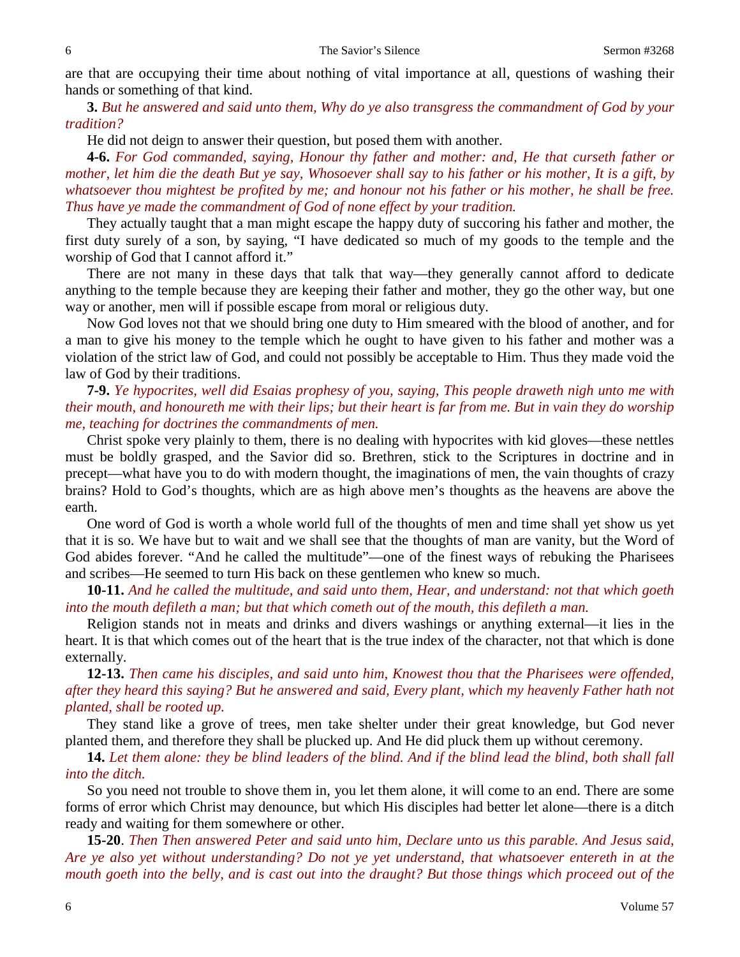are that are occupying their time about nothing of vital importance at all, questions of washing their hands or something of that kind.

**3.** *But he answered and said unto them, Why do ye also transgress the commandment of God by your tradition?* 

He did not deign to answer their question, but posed them with another.

**4-6.** *For God commanded, saying, Honour thy father and mother: and, He that curseth father or mother, let him die the death But ye say, Whosoever shall say to his father or his mother, It is a gift, by whatsoever thou mightest be profited by me; and honour not his father or his mother, he shall be free. Thus have ye made the commandment of God of none effect by your tradition.*

They actually taught that a man might escape the happy duty of succoring his father and mother, the first duty surely of a son, by saying, "I have dedicated so much of my goods to the temple and the worship of God that I cannot afford it."

There are not many in these days that talk that way—they generally cannot afford to dedicate anything to the temple because they are keeping their father and mother, they go the other way, but one way or another, men will if possible escape from moral or religious duty.

Now God loves not that we should bring one duty to Him smeared with the blood of another, and for a man to give his money to the temple which he ought to have given to his father and mother was a violation of the strict law of God, and could not possibly be acceptable to Him. Thus they made void the law of God by their traditions.

**7-9.** *Ye hypocrites, well did Esaias prophesy of you, saying, This people draweth nigh unto me with their mouth, and honoureth me with their lips; but their heart is far from me. But in vain they do worship me, teaching for doctrines the commandments of men.*

Christ spoke very plainly to them, there is no dealing with hypocrites with kid gloves—these nettles must be boldly grasped, and the Savior did so. Brethren, stick to the Scriptures in doctrine and in precept—what have you to do with modern thought, the imaginations of men, the vain thoughts of crazy brains? Hold to God's thoughts, which are as high above men's thoughts as the heavens are above the earth.

One word of God is worth a whole world full of the thoughts of men and time shall yet show us yet that it is so. We have but to wait and we shall see that the thoughts of man are vanity, but the Word of God abides forever. "And he called the multitude"—one of the finest ways of rebuking the Pharisees and scribes—He seemed to turn His back on these gentlemen who knew so much.

**10-11.** *And he called the multitude, and said unto them, Hear, and understand: not that which goeth into the mouth defileth a man; but that which cometh out of the mouth, this defileth a man.*

Religion stands not in meats and drinks and divers washings or anything external—it lies in the heart. It is that which comes out of the heart that is the true index of the character, not that which is done externally.

**12-13.** *Then came his disciples, and said unto him, Knowest thou that the Pharisees were offended, after they heard this saying? But he answered and said, Every plant, which my heavenly Father hath not planted, shall be rooted up.*

They stand like a grove of trees, men take shelter under their great knowledge, but God never planted them, and therefore they shall be plucked up. And He did pluck them up without ceremony.

**14.** *Let them alone: they be blind leaders of the blind. And if the blind lead the blind, both shall fall into the ditch.* 

So you need not trouble to shove them in, you let them alone, it will come to an end. There are some forms of error which Christ may denounce, but which His disciples had better let alone—there is a ditch ready and waiting for them somewhere or other.

**15-20**. *Then Then answered Peter and said unto him, Declare unto us this parable. And Jesus said, Are ye also yet without understanding? Do not ye yet understand, that whatsoever entereth in at the mouth goeth into the belly, and is cast out into the draught? But those things which proceed out of the*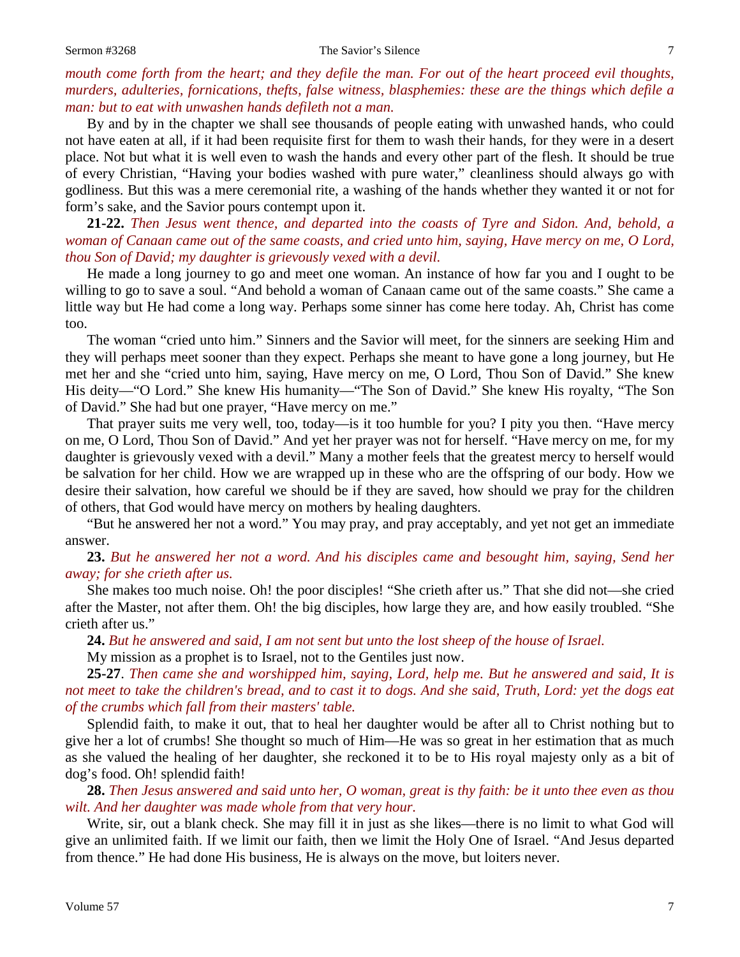#### Sermon #3268 The Savior's Silence 7

# *mouth come forth from the heart; and they defile the man. For out of the heart proceed evil thoughts, murders, adulteries, fornications, thefts, false witness, blasphemies: these are the things which defile a man: but to eat with unwashen hands defileth not a man.*

By and by in the chapter we shall see thousands of people eating with unwashed hands, who could not have eaten at all, if it had been requisite first for them to wash their hands, for they were in a desert place. Not but what it is well even to wash the hands and every other part of the flesh. It should be true of every Christian, "Having your bodies washed with pure water," cleanliness should always go with godliness. But this was a mere ceremonial rite, a washing of the hands whether they wanted it or not for form's sake, and the Savior pours contempt upon it.

**21-22.** *Then Jesus went thence, and departed into the coasts of Tyre and Sidon. And, behold, a woman of Canaan came out of the same coasts, and cried unto him, saying, Have mercy on me, O Lord, thou Son of David; my daughter is grievously vexed with a devil.*

He made a long journey to go and meet one woman. An instance of how far you and I ought to be willing to go to save a soul. "And behold a woman of Canaan came out of the same coasts." She came a little way but He had come a long way. Perhaps some sinner has come here today. Ah, Christ has come too.

The woman "cried unto him." Sinners and the Savior will meet, for the sinners are seeking Him and they will perhaps meet sooner than they expect. Perhaps she meant to have gone a long journey, but He met her and she "cried unto him, saying, Have mercy on me, O Lord, Thou Son of David." She knew His deity—"O Lord." She knew His humanity—"The Son of David." She knew His royalty, "The Son of David." She had but one prayer, "Have mercy on me."

That prayer suits me very well, too, today—is it too humble for you? I pity you then. "Have mercy on me, O Lord, Thou Son of David." And yet her prayer was not for herself. "Have mercy on me, for my daughter is grievously vexed with a devil." Many a mother feels that the greatest mercy to herself would be salvation for her child. How we are wrapped up in these who are the offspring of our body. How we desire their salvation, how careful we should be if they are saved, how should we pray for the children of others, that God would have mercy on mothers by healing daughters.

"But he answered her not a word." You may pray, and pray acceptably, and yet not get an immediate answer.

**23.** *But he answered her not a word. And his disciples came and besought him, saying, Send her away; for she crieth after us.* 

She makes too much noise. Oh! the poor disciples! "She crieth after us." That she did not—she cried after the Master, not after them. Oh! the big disciples, how large they are, and how easily troubled. "She crieth after us."

**24.** *But he answered and said, I am not sent but unto the lost sheep of the house of Israel.* 

My mission as a prophet is to Israel, not to the Gentiles just now.

**25-27**. *Then came she and worshipped him, saying, Lord, help me. But he answered and said, It is not meet to take the children's bread, and to cast it to dogs. And she said, Truth, Lord: yet the dogs eat of the crumbs which fall from their masters' table.*

Splendid faith, to make it out, that to heal her daughter would be after all to Christ nothing but to give her a lot of crumbs! She thought so much of Him—He was so great in her estimation that as much as she valued the healing of her daughter, she reckoned it to be to His royal majesty only as a bit of dog's food. Oh! splendid faith!

**28.** *Then Jesus answered and said unto her, O woman, great is thy faith: be it unto thee even as thou wilt. And her daughter was made whole from that very hour.* 

Write, sir, out a blank check. She may fill it in just as she likes—there is no limit to what God will give an unlimited faith. If we limit our faith, then we limit the Holy One of Israel. "And Jesus departed from thence." He had done His business, He is always on the move, but loiters never.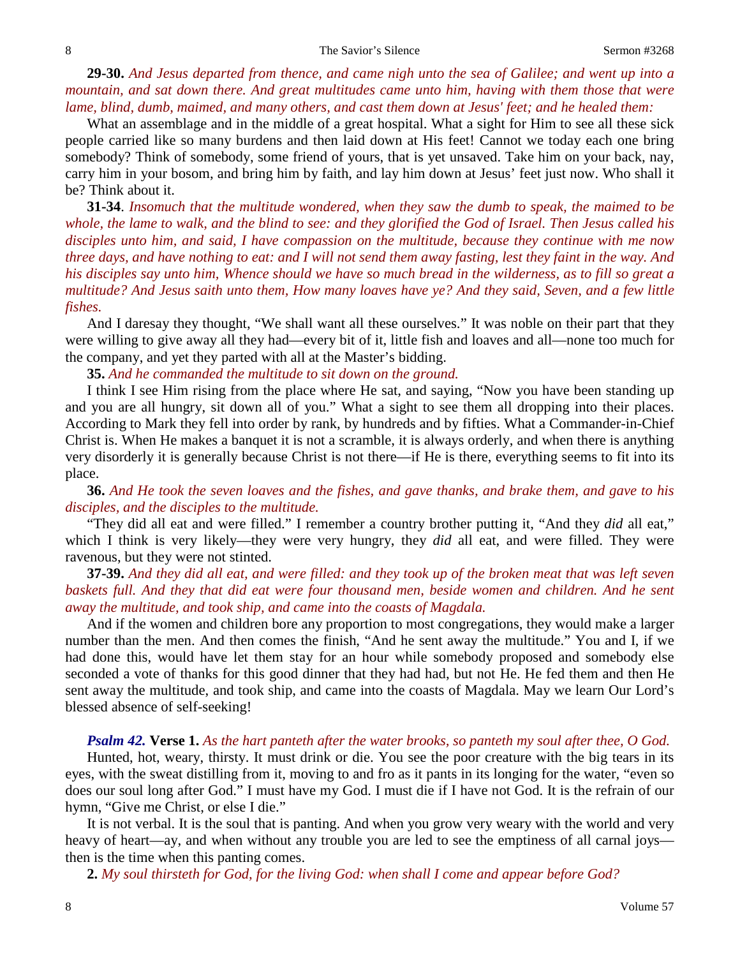**29-30.** *And Jesus departed from thence, and came nigh unto the sea of Galilee; and went up into a mountain, and sat down there. And great multitudes came unto him, having with them those that were lame, blind, dumb, maimed, and many others, and cast them down at Jesus' feet; and he healed them:*

What an assemblage and in the middle of a great hospital. What a sight for Him to see all these sick people carried like so many burdens and then laid down at His feet! Cannot we today each one bring somebody? Think of somebody, some friend of yours, that is yet unsaved. Take him on your back, nay, carry him in your bosom, and bring him by faith, and lay him down at Jesus' feet just now. Who shall it be? Think about it.

**31-34**. *Insomuch that the multitude wondered, when they saw the dumb to speak, the maimed to be whole, the lame to walk, and the blind to see: and they glorified the God of Israel. Then Jesus called his disciples unto him, and said, I have compassion on the multitude, because they continue with me now three days, and have nothing to eat: and I will not send them away fasting, lest they faint in the way. And his disciples say unto him, Whence should we have so much bread in the wilderness, as to fill so great a multitude? And Jesus saith unto them, How many loaves have ye? And they said, Seven, and a few little fishes.*

And I daresay they thought, "We shall want all these ourselves." It was noble on their part that they were willing to give away all they had—every bit of it, little fish and loaves and all—none too much for the company, and yet they parted with all at the Master's bidding.

**35.** *And he commanded the multitude to sit down on the ground.*

I think I see Him rising from the place where He sat, and saying, "Now you have been standing up and you are all hungry, sit down all of you." What a sight to see them all dropping into their places. According to Mark they fell into order by rank, by hundreds and by fifties. What a Commander-in-Chief Christ is. When He makes a banquet it is not a scramble, it is always orderly, and when there is anything very disorderly it is generally because Christ is not there—if He is there, everything seems to fit into its place.

**36.** *And He took the seven loaves and the fishes, and gave thanks, and brake them, and gave to his disciples, and the disciples to the multitude.* 

"They did all eat and were filled." I remember a country brother putting it, "And they *did* all eat," which I think is very likely—they were very hungry, they *did* all eat, and were filled. They were ravenous, but they were not stinted.

**37-39.** *And they did all eat, and were filled: and they took up of the broken meat that was left seven*  baskets full. And they that did eat were four thousand men, beside women and children. And he sent *away the multitude, and took ship, and came into the coasts of Magdala.*

And if the women and children bore any proportion to most congregations, they would make a larger number than the men. And then comes the finish, "And he sent away the multitude." You and I, if we had done this, would have let them stay for an hour while somebody proposed and somebody else seconded a vote of thanks for this good dinner that they had had, but not He. He fed them and then He sent away the multitude, and took ship, and came into the coasts of Magdala. May we learn Our Lord's blessed absence of self-seeking!

### *Psalm 42.* **Verse 1.** *As the hart panteth after the water brooks, so panteth my soul after thee, O God.*

Hunted, hot, weary, thirsty. It must drink or die. You see the poor creature with the big tears in its eyes, with the sweat distilling from it, moving to and fro as it pants in its longing for the water, "even so does our soul long after God." I must have my God. I must die if I have not God. It is the refrain of our hymn, "Give me Christ, or else I die."

It is not verbal. It is the soul that is panting. And when you grow very weary with the world and very heavy of heart—ay, and when without any trouble you are led to see the emptiness of all carnal joys then is the time when this panting comes.

**2.** *My soul thirsteth for God, for the living God: when shall I come and appear before God?*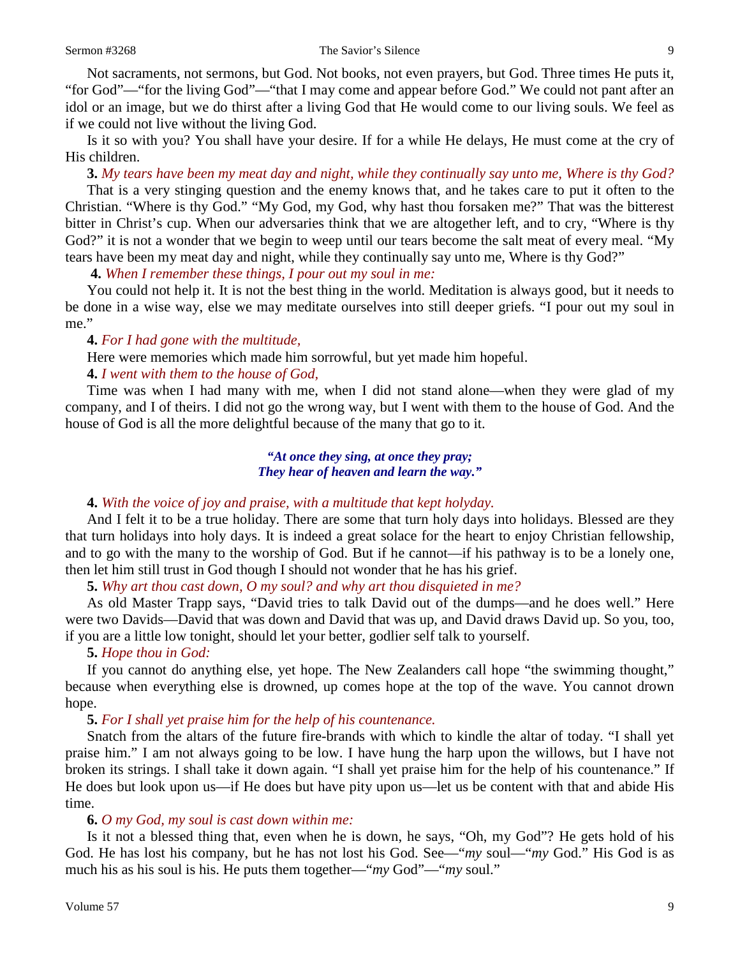Not sacraments, not sermons, but God. Not books, not even prayers, but God. Three times He puts it, "for God"—"for the living God"—"that I may come and appear before God." We could not pant after an idol or an image, but we do thirst after a living God that He would come to our living souls. We feel as if we could not live without the living God.

Is it so with you? You shall have your desire. If for a while He delays, He must come at the cry of His children.

**3.** *My tears have been my meat day and night, while they continually say unto me, Where is thy God?* 

That is a very stinging question and the enemy knows that, and he takes care to put it often to the Christian. "Where is thy God." "My God, my God, why hast thou forsaken me?" That was the bitterest bitter in Christ's cup. When our adversaries think that we are altogether left, and to cry, "Where is thy God?" it is not a wonder that we begin to weep until our tears become the salt meat of every meal. "My tears have been my meat day and night, while they continually say unto me, Where is thy God?"

**4.** *When I remember these things, I pour out my soul in me:*

You could not help it. It is not the best thing in the world. Meditation is always good, but it needs to be done in a wise way, else we may meditate ourselves into still deeper griefs. "I pour out my soul in me."

# **4.** *For I had gone with the multitude,*

Here were memories which made him sorrowful, but yet made him hopeful.

# **4.** *I went with them to the house of God,*

Time was when I had many with me, when I did not stand alone—when they were glad of my company, and I of theirs. I did not go the wrong way, but I went with them to the house of God. And the house of God is all the more delightful because of the many that go to it.

# *"At once they sing, at once they pray; They hear of heaven and learn the way."*

## **4.** *With the voice of joy and praise, with a multitude that kept holyday.*

And I felt it to be a true holiday. There are some that turn holy days into holidays. Blessed are they that turn holidays into holy days. It is indeed a great solace for the heart to enjoy Christian fellowship, and to go with the many to the worship of God. But if he cannot—if his pathway is to be a lonely one, then let him still trust in God though I should not wonder that he has his grief.

**5.** *Why art thou cast down, O my soul? and why art thou disquieted in me?* 

As old Master Trapp says, "David tries to talk David out of the dumps—and he does well." Here were two Davids—David that was down and David that was up, and David draws David up. So you, too, if you are a little low tonight, should let your better, godlier self talk to yourself.

# **5.** *Hope thou in God:*

If you cannot do anything else, yet hope. The New Zealanders call hope "the swimming thought," because when everything else is drowned, up comes hope at the top of the wave. You cannot drown hope.

## **5.** *For I shall yet praise him for the help of his countenance.*

Snatch from the altars of the future fire-brands with which to kindle the altar of today. "I shall yet praise him." I am not always going to be low. I have hung the harp upon the willows, but I have not broken its strings. I shall take it down again. "I shall yet praise him for the help of his countenance." If He does but look upon us—if He does but have pity upon us—let us be content with that and abide His time.

# **6.** *O my God, my soul is cast down within me:*

Is it not a blessed thing that, even when he is down, he says, "Oh, my God"? He gets hold of his God. He has lost his company, but he has not lost his God. See—"*my* soul—"*my* God." His God is as much his as his soul is his. He puts them together—"*my* God"—"*my* soul."